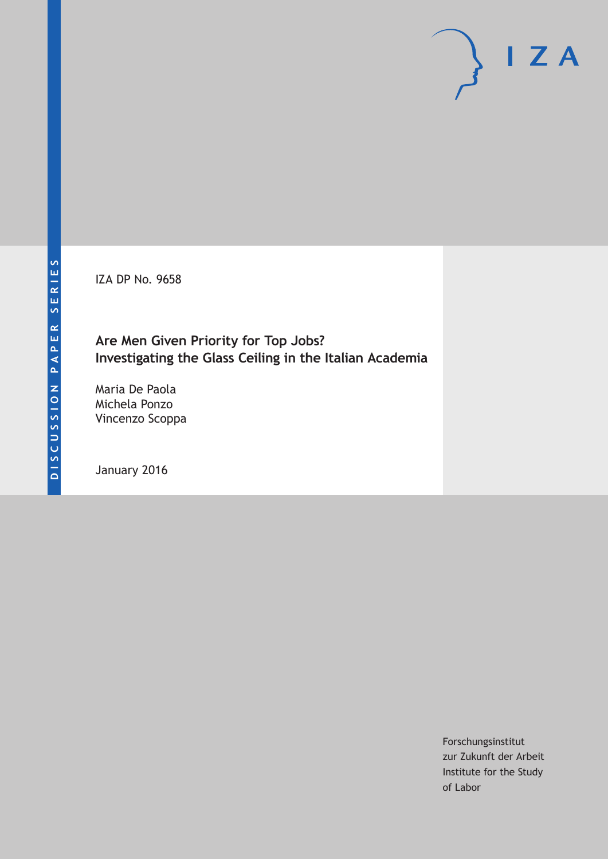IZA DP No. 9658

# **Are Men Given Priority for Top Jobs? Investigating the Glass Ceiling in the Italian Academia**

Maria De Paola Michela Ponzo Vincenzo Scoppa

January 2016

Forschungsinstitut zur Zukunft der Arbeit Institute for the Study of Labor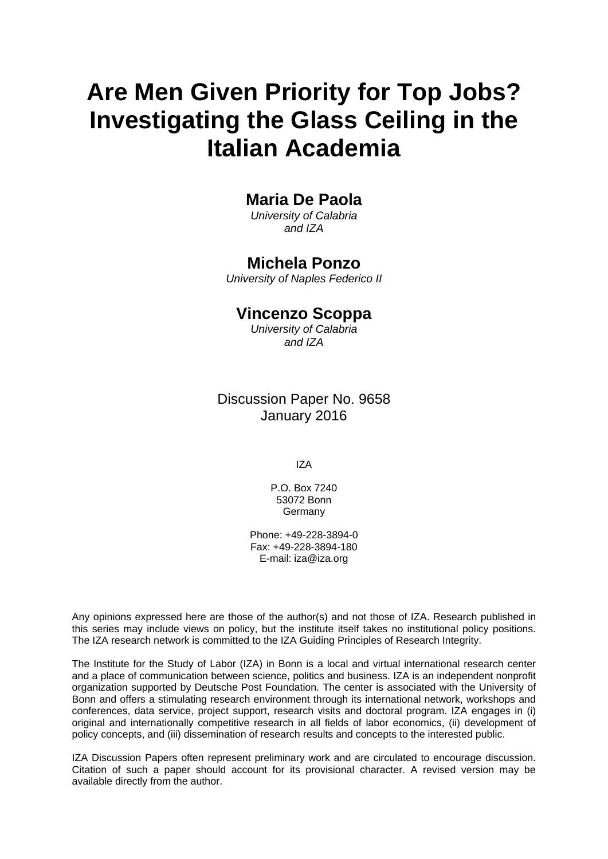# **Are Men Given Priority for Top Jobs? Investigating the Glass Ceiling in the Italian Academia**

# **Maria De Paola**

*University of Calabria and IZA* 

# **Michela Ponzo**

*University of Naples Federico II* 

# **Vincenzo Scoppa**

*University of Calabria and IZA*

# Discussion Paper No. 9658 January 2016

IZA

P.O. Box 7240 53072 Bonn **Germany** 

Phone: +49-228-3894-0 Fax: +49-228-3894-180 E-mail: iza@iza.org

Any opinions expressed here are those of the author(s) and not those of IZA. Research published in this series may include views on policy, but the institute itself takes no institutional policy positions. The IZA research network is committed to the IZA Guiding Principles of Research Integrity.

The Institute for the Study of Labor (IZA) in Bonn is a local and virtual international research center and a place of communication between science, politics and business. IZA is an independent nonprofit organization supported by Deutsche Post Foundation. The center is associated with the University of Bonn and offers a stimulating research environment through its international network, workshops and conferences, data service, project support, research visits and doctoral program. IZA engages in (i) original and internationally competitive research in all fields of labor economics, (ii) development of policy concepts, and (iii) dissemination of research results and concepts to the interested public.

IZA Discussion Papers often represent preliminary work and are circulated to encourage discussion. Citation of such a paper should account for its provisional character. A revised version may be available directly from the author.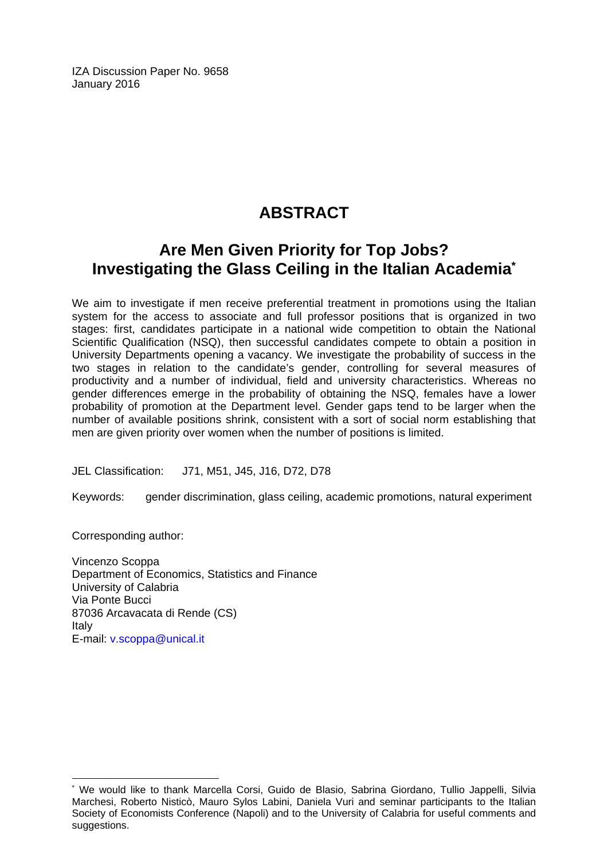IZA Discussion Paper No. 9658 January 2016

# **ABSTRACT**

# **Are Men Given Priority for Top Jobs? Investigating the Glass Ceiling in the Italian Academia\***

We aim to investigate if men receive preferential treatment in promotions using the Italian system for the access to associate and full professor positions that is organized in two stages: first, candidates participate in a national wide competition to obtain the National Scientific Qualification (NSQ), then successful candidates compete to obtain a position in University Departments opening a vacancy. We investigate the probability of success in the two stages in relation to the candidate's gender, controlling for several measures of productivity and a number of individual, field and university characteristics. Whereas no gender differences emerge in the probability of obtaining the NSQ, females have a lower probability of promotion at the Department level. Gender gaps tend to be larger when the number of available positions shrink, consistent with a sort of social norm establishing that men are given priority over women when the number of positions is limited.

JEL Classification: J71, M51, J45, J16, D72, D78

Keywords: gender discrimination, glass ceiling, academic promotions, natural experiment

Corresponding author:

 $\overline{\phantom{a}}$ 

Vincenzo Scoppa Department of Economics, Statistics and Finance University of Calabria Via Ponte Bucci 87036 Arcavacata di Rende (CS) Italy E-mail: v.scoppa@unical.it

<sup>\*</sup> We would like to thank Marcella Corsi, Guido de Blasio, Sabrina Giordano, Tullio Jappelli, Silvia Marchesi, Roberto Nisticò, Mauro Sylos Labini, Daniela Vuri and seminar participants to the Italian Society of Economists Conference (Napoli) and to the University of Calabria for useful comments and suggestions.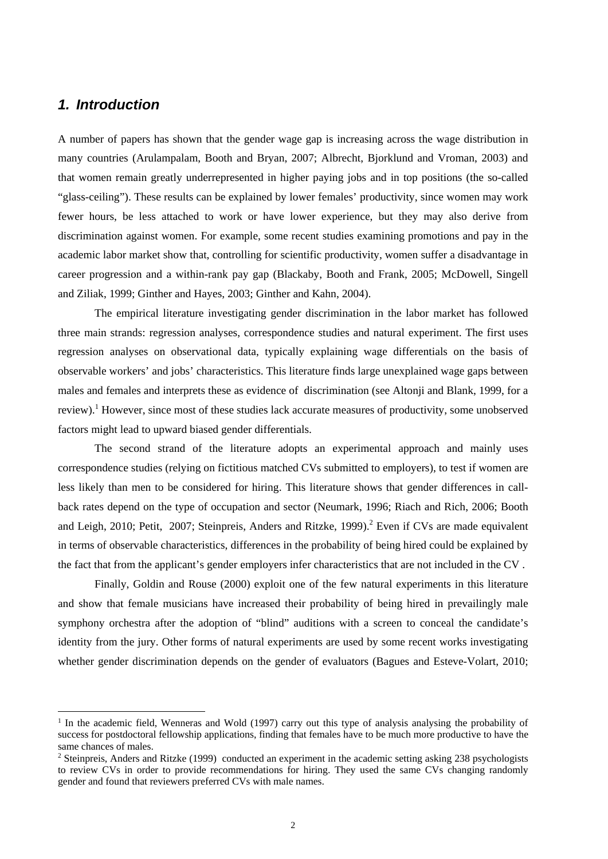### *1. Introduction*

A number of papers has shown that the gender wage gap is increasing across the wage distribution in many countries (Arulampalam, Booth and Bryan, 2007; Albrecht, Bjorklund and Vroman, 2003) and that women remain greatly underrepresented in higher paying jobs and in top positions (the so-called "glass-ceiling"). These results can be explained by lower females' productivity, since women may work fewer hours, be less attached to work or have lower experience, but they may also derive from discrimination against women. For example, some recent studies examining promotions and pay in the academic labor market show that, controlling for scientific productivity, women suffer a disadvantage in career progression and a within-rank pay gap (Blackaby, Booth and Frank, 2005; McDowell, Singell and Ziliak, 1999; Ginther and Hayes, 2003; Ginther and Kahn, 2004).

The empirical literature investigating gender discrimination in the labor market has followed three main strands: regression analyses, correspondence studies and natural experiment. The first uses regression analyses on observational data, typically explaining wage differentials on the basis of observable workers' and jobs' characteristics. This literature finds large unexplained wage gaps between males and females and interprets these as evidence of discrimination (see Altonji and Blank, 1999, for a review).<sup>1</sup> However, since most of these studies lack accurate measures of productivity, some unobserved factors might lead to upward biased gender differentials.

The second strand of the literature adopts an experimental approach and mainly uses correspondence studies (relying on fictitious matched CVs submitted to employers), to test if women are less likely than men to be considered for hiring. This literature shows that gender differences in callback rates depend on the type of occupation and sector (Neumark, 1996; Riach and Rich, 2006; Booth and Leigh, 2010; Petit, 2007; Steinpreis, Anders and Ritzke, 1999).<sup>2</sup> Even if CVs are made equivalent in terms of observable characteristics, differences in the probability of being hired could be explained by the fact that from the applicant's gender employers infer characteristics that are not included in the CV .

Finally, Goldin and Rouse (2000) exploit one of the few natural experiments in this literature and show that female musicians have increased their probability of being hired in prevailingly male symphony orchestra after the adoption of "blind" auditions with a screen to conceal the candidate's identity from the jury. Other forms of natural experiments are used by some recent works investigating whether gender discrimination depends on the gender of evaluators (Bagues and Esteve-Volart, 2010;

<sup>&</sup>lt;sup>1</sup> In the academic field, Wenneras and Wold (1997) carry out this type of analysis analysing the probability of success for postdoctoral fellowship applications, finding that females have to be much more productive to have the same chances of males.

<sup>&</sup>lt;sup>2</sup> Steinpreis, Anders and Ritzke (1999) conducted an experiment in the academic setting asking 238 psychologists to review CVs in order to provide recommendations for hiring. They used the same CVs changing randomly gender and found that reviewers preferred CVs with male names.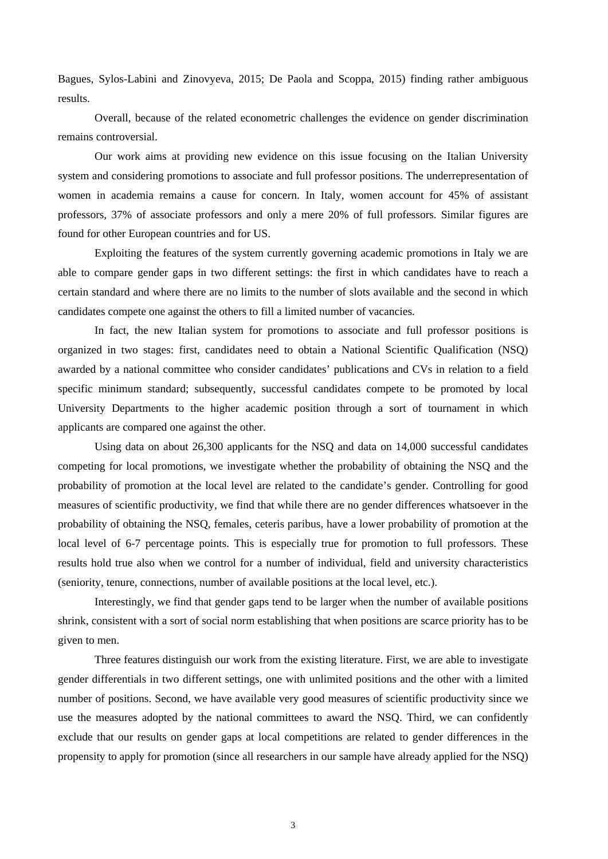Bagues, Sylos-Labini and Zinovyeva, 2015; De Paola and Scoppa, 2015) finding rather ambiguous results.

Overall, because of the related econometric challenges the evidence on gender discrimination remains controversial.

Our work aims at providing new evidence on this issue focusing on the Italian University system and considering promotions to associate and full professor positions. The underrepresentation of women in academia remains a cause for concern. In Italy, women account for 45% of assistant professors, 37% of associate professors and only a mere 20% of full professors. Similar figures are found for other European countries and for US.

Exploiting the features of the system currently governing academic promotions in Italy we are able to compare gender gaps in two different settings: the first in which candidates have to reach a certain standard and where there are no limits to the number of slots available and the second in which candidates compete one against the others to fill a limited number of vacancies.

In fact, the new Italian system for promotions to associate and full professor positions is organized in two stages: first, candidates need to obtain a National Scientific Qualification (NSQ) awarded by a national committee who consider candidates' publications and CVs in relation to a field specific minimum standard; subsequently, successful candidates compete to be promoted by local University Departments to the higher academic position through a sort of tournament in which applicants are compared one against the other.

Using data on about 26,300 applicants for the NSQ and data on 14,000 successful candidates competing for local promotions, we investigate whether the probability of obtaining the NSQ and the probability of promotion at the local level are related to the candidate's gender. Controlling for good measures of scientific productivity, we find that while there are no gender differences whatsoever in the probability of obtaining the NSQ, females, ceteris paribus, have a lower probability of promotion at the local level of 6-7 percentage points. This is especially true for promotion to full professors. These results hold true also when we control for a number of individual, field and university characteristics (seniority, tenure, connections, number of available positions at the local level, etc.).

Interestingly, we find that gender gaps tend to be larger when the number of available positions shrink, consistent with a sort of social norm establishing that when positions are scarce priority has to be given to men.

Three features distinguish our work from the existing literature. First, we are able to investigate gender differentials in two different settings, one with unlimited positions and the other with a limited number of positions. Second, we have available very good measures of scientific productivity since we use the measures adopted by the national committees to award the NSQ. Third, we can confidently exclude that our results on gender gaps at local competitions are related to gender differences in the propensity to apply for promotion (since all researchers in our sample have already applied for the NSQ)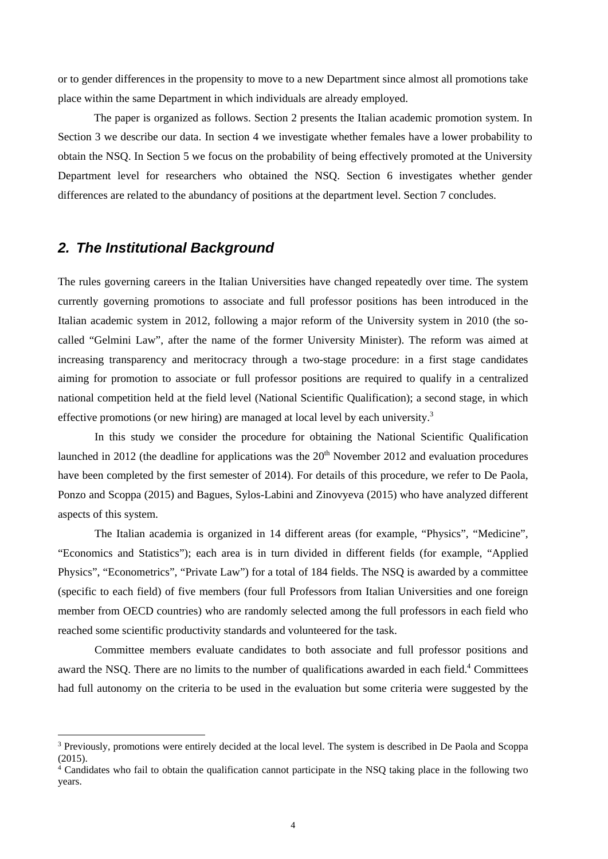or to gender differences in the propensity to move to a new Department since almost all promotions take place within the same Department in which individuals are already employed.

The paper is organized as follows. Section 2 presents the Italian academic promotion system. In Section 3 we describe our data. In section 4 we investigate whether females have a lower probability to obtain the NSQ. In Section 5 we focus on the probability of being effectively promoted at the University Department level for researchers who obtained the NSQ. Section 6 investigates whether gender differences are related to the abundancy of positions at the department level. Section 7 concludes.

### *2. The Institutional Background*

The rules governing careers in the Italian Universities have changed repeatedly over time. The system currently governing promotions to associate and full professor positions has been introduced in the Italian academic system in 2012, following a major reform of the University system in 2010 (the socalled "Gelmini Law", after the name of the former University Minister). The reform was aimed at increasing transparency and meritocracy through a two-stage procedure: in a first stage candidates aiming for promotion to associate or full professor positions are required to qualify in a centralized national competition held at the field level (National Scientific Qualification); a second stage, in which effective promotions (or new hiring) are managed at local level by each university.<sup>3</sup>

In this study we consider the procedure for obtaining the National Scientific Qualification launched in 2012 (the deadline for applications was the  $20<sup>th</sup>$  November 2012 and evaluation procedures have been completed by the first semester of 2014). For details of this procedure, we refer to De Paola, Ponzo and Scoppa (2015) and Bagues, Sylos-Labini and Zinovyeva (2015) who have analyzed different aspects of this system.

The Italian academia is organized in 14 different areas (for example, "Physics", "Medicine", "Economics and Statistics"); each area is in turn divided in different fields (for example, "Applied Physics", "Econometrics", "Private Law") for a total of 184 fields. The NSQ is awarded by a committee (specific to each field) of five members (four full Professors from Italian Universities and one foreign member from OECD countries) who are randomly selected among the full professors in each field who reached some scientific productivity standards and volunteered for the task.

Committee members evaluate candidates to both associate and full professor positions and award the NSQ. There are no limits to the number of qualifications awarded in each field.<sup>4</sup> Committees had full autonomy on the criteria to be used in the evaluation but some criteria were suggested by the

<sup>&</sup>lt;sup>3</sup> Previously, promotions were entirely decided at the local level. The system is described in De Paola and Scoppa (2015).

<sup>4</sup> Candidates who fail to obtain the qualification cannot participate in the NSQ taking place in the following two years.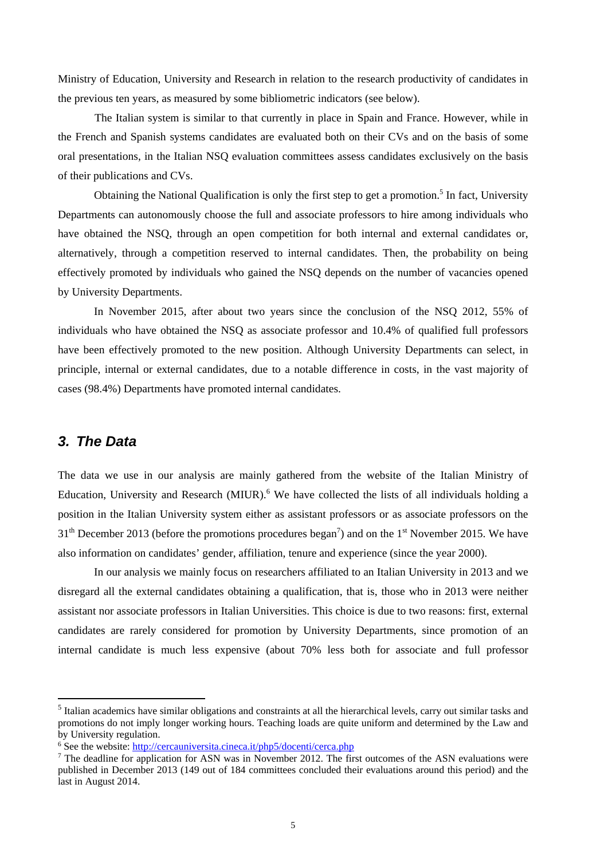Ministry of Education, University and Research in relation to the research productivity of candidates in the previous ten years, as measured by some bibliometric indicators (see below).

The Italian system is similar to that currently in place in Spain and France. However, while in the French and Spanish systems candidates are evaluated both on their CVs and on the basis of some oral presentations, in the Italian NSQ evaluation committees assess candidates exclusively on the basis of their publications and CVs.

Obtaining the National Qualification is only the first step to get a promotion.<sup>5</sup> In fact, University Departments can autonomously choose the full and associate professors to hire among individuals who have obtained the NSQ, through an open competition for both internal and external candidates or, alternatively, through a competition reserved to internal candidates. Then, the probability on being effectively promoted by individuals who gained the NSQ depends on the number of vacancies opened by University Departments.

In November 2015, after about two years since the conclusion of the NSQ 2012, 55% of individuals who have obtained the NSQ as associate professor and 10.4% of qualified full professors have been effectively promoted to the new position. Although University Departments can select, in principle, internal or external candidates, due to a notable difference in costs, in the vast majority of cases (98.4%) Departments have promoted internal candidates.

### *3. The Data*

The data we use in our analysis are mainly gathered from the website of the Italian Ministry of Education, University and Research (MIUR).<sup>6</sup> We have collected the lists of all individuals holding a position in the Italian University system either as assistant professors or as associate professors on the  $31<sup>th</sup>$  December 2013 (before the promotions procedures began<sup>7</sup>) and on the 1<sup>st</sup> November 2015. We have also information on candidates' gender, affiliation, tenure and experience (since the year 2000).

In our analysis we mainly focus on researchers affiliated to an Italian University in 2013 and we disregard all the external candidates obtaining a qualification, that is, those who in 2013 were neither assistant nor associate professors in Italian Universities. This choice is due to two reasons: first, external candidates are rarely considered for promotion by University Departments, since promotion of an internal candidate is much less expensive (about 70% less both for associate and full professor

<sup>&</sup>lt;sup>5</sup> Italian academics have similar obligations and constraints at all the hierarchical levels, carry out similar tasks and promotions do not imply longer working hours. Teaching loads are quite uniform and determined by the Law and by University regulation.

<sup>&</sup>lt;sup>6</sup> See the website:  $\frac{http://cercauniversita.cineca.it/php5/docenti/cerca.php}{nT}$ <br>The deadline for application for ASN was in November 2012. The fir

<sup>&</sup>lt;sup>7</sup> The deadline for application for ASN was in November 2012. The first outcomes of the ASN evaluations were published in December 2013 (149 out of 184 committees concluded their evaluations around this period) and the last in August 2014.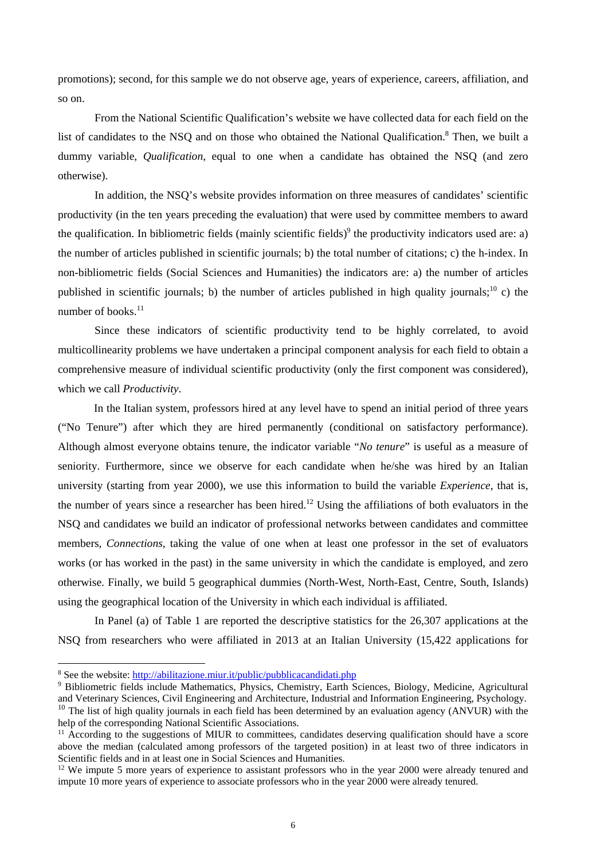promotions); second, for this sample we do not observe age, years of experience, careers, affiliation, and so on.

From the National Scientific Qualification's website we have collected data for each field on the list of candidates to the NSQ and on those who obtained the National Qualification.<sup>8</sup> Then, we built a dummy variable, *Qualification*, equal to one when a candidate has obtained the NSQ (and zero otherwise).

In addition, the NSQ's website provides information on three measures of candidates' scientific productivity (in the ten years preceding the evaluation) that were used by committee members to award the qualification. In bibliometric fields (mainly scientific fields) $\delta$  the productivity indicators used are: a) the number of articles published in scientific journals; b) the total number of citations; c) the h-index. In non-bibliometric fields (Social Sciences and Humanities) the indicators are: a) the number of articles published in scientific journals; b) the number of articles published in high quality journals;<sup>10</sup> c) the number of books. $11$ 

Since these indicators of scientific productivity tend to be highly correlated, to avoid multicollinearity problems we have undertaken a principal component analysis for each field to obtain a comprehensive measure of individual scientific productivity (only the first component was considered), which we call *Productivity*.

In the Italian system, professors hired at any level have to spend an initial period of three years ("No Tenure") after which they are hired permanently (conditional on satisfactory performance). Although almost everyone obtains tenure, the indicator variable "*No tenure*" is useful as a measure of seniority. Furthermore, since we observe for each candidate when he/she was hired by an Italian university (starting from year 2000), we use this information to build the variable *Experience*, that is, the number of years since a researcher has been hired.<sup>12</sup> Using the affiliations of both evaluators in the NSQ and candidates we build an indicator of professional networks between candidates and committee members*, Connections*, taking the value of one when at least one professor in the set of evaluators works (or has worked in the past) in the same university in which the candidate is employed, and zero otherwise. Finally, we build 5 geographical dummies (North-West, North-East, Centre, South, Islands) using the geographical location of the University in which each individual is affiliated.

In Panel (a) of Table 1 are reported the descriptive statistics for the 26,307 applications at the NSQ from researchers who were affiliated in 2013 at an Italian University (15,422 applications for

<sup>&</sup>lt;sup>8</sup> See the website:  $\frac{http://abilitazione.miuri/t/public/pubblicacandidati.php}{http://abilitazione.miuri/tpublic/pubblicacandidati.php}$ <br><sup>9</sup> Bibliometric fields include Mathematics Physics Chemistry Farth S.

<sup>&</sup>lt;sup>9</sup> Bibliometric fields include Mathematics, *Physics*, *Chemistry*, *Earth Sciences*, *Biology*, *Medicine*, *Agricultural* and Veterinary Sciences, Civil Engineering and Architecture, Industrial and Information Engineering, Psychology.  $10$  The list of high quality journals in each field has been determined by an evaluation agency (ANVUR) with the help of the corresponding National Scientific Associations.

<sup>&</sup>lt;sup>11</sup> According to the suggestions of MIUR to committees, candidates deserving qualification should have a score above the median (calculated among professors of the targeted position) in at least two of three indicators in Scientific fields and in at least one in Social Sciences and Humanities.

<sup>&</sup>lt;sup>12</sup> We impute 5 more years of experience to assistant professors who in the year 2000 were already tenured and impute 10 more years of experience to associate professors who in the year 2000 were already tenured.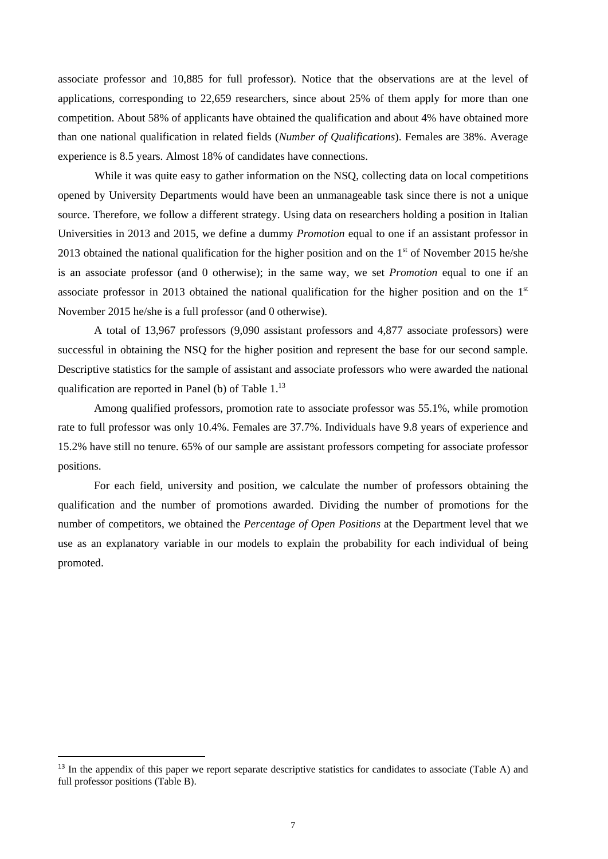associate professor and 10,885 for full professor). Notice that the observations are at the level of applications, corresponding to 22,659 researchers, since about 25% of them apply for more than one competition. About 58% of applicants have obtained the qualification and about 4% have obtained more than one national qualification in related fields (*Number of Qualifications*). Females are 38%. Average experience is 8.5 years. Almost 18% of candidates have connections.

While it was quite easy to gather information on the NSQ, collecting data on local competitions opened by University Departments would have been an unmanageable task since there is not a unique source. Therefore, we follow a different strategy. Using data on researchers holding a position in Italian Universities in 2013 and 2015, we define a dummy *Promotion* equal to one if an assistant professor in 2013 obtained the national qualification for the higher position and on the  $1<sup>st</sup>$  of November 2015 he/she is an associate professor (and 0 otherwise); in the same way, we set *Promotion* equal to one if an associate professor in 2013 obtained the national qualification for the higher position and on the  $1<sup>st</sup>$ November 2015 he/she is a full professor (and 0 otherwise).

A total of 13,967 professors (9,090 assistant professors and 4,877 associate professors) were successful in obtaining the NSQ for the higher position and represent the base for our second sample. Descriptive statistics for the sample of assistant and associate professors who were awarded the national qualification are reported in Panel (b) of Table 1.<sup>13</sup>

Among qualified professors, promotion rate to associate professor was 55.1%, while promotion rate to full professor was only 10.4%. Females are 37.7%. Individuals have 9.8 years of experience and 15.2% have still no tenure. 65% of our sample are assistant professors competing for associate professor positions.

For each field, university and position, we calculate the number of professors obtaining the qualification and the number of promotions awarded. Dividing the number of promotions for the number of competitors, we obtained the *Percentage of Open Positions* at the Department level that we use as an explanatory variable in our models to explain the probability for each individual of being promoted.

<sup>&</sup>lt;sup>13</sup> In the appendix of this paper we report separate descriptive statistics for candidates to associate (Table A) and full professor positions (Table B).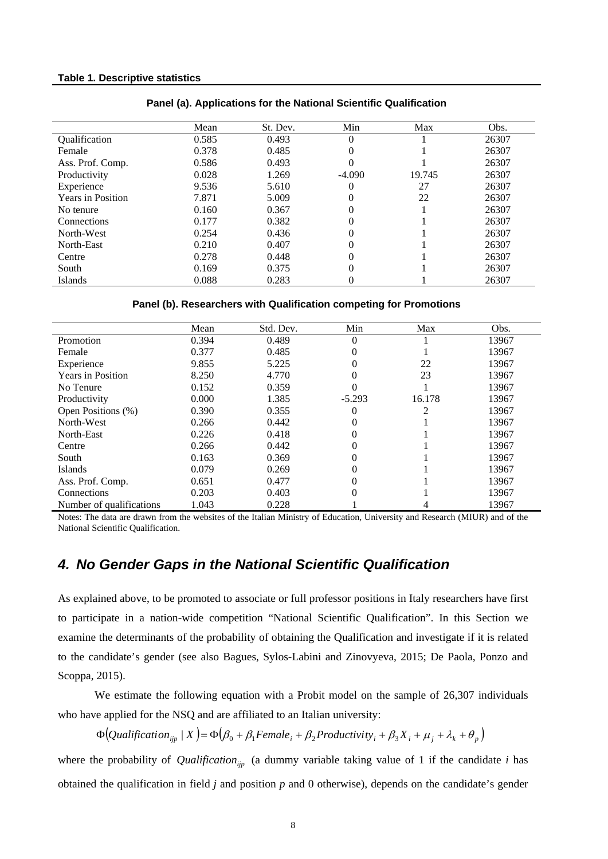#### **Table 1. Descriptive statistics**

|                          | Mean  | St. Dev. | Min      | Max    | Obs.  |
|--------------------------|-------|----------|----------|--------|-------|
| Qualification            | 0.585 | 0.493    | $\theta$ |        | 26307 |
| Female                   | 0.378 | 0.485    | 0        |        | 26307 |
| Ass. Prof. Comp.         | 0.586 | 0.493    |          |        | 26307 |
| Productivity             | 0.028 | 1.269    | $-4.090$ | 19.745 | 26307 |
| Experience               | 9.536 | 5.610    |          | 27     | 26307 |
| <b>Years in Position</b> | 7.871 | 5.009    | 0        | 22     | 26307 |
| No tenure                | 0.160 | 0.367    |          |        | 26307 |
| Connections              | 0.177 | 0.382    | 0        |        | 26307 |
| North-West               | 0.254 | 0.436    | 0        |        | 26307 |
| North-East               | 0.210 | 0.407    |          |        | 26307 |
| Centre                   | 0.278 | 0.448    | 0        |        | 26307 |
| South                    | 0.169 | 0.375    |          |        | 26307 |
| Islands                  | 0.088 | 0.283    |          |        | 26307 |

#### **Panel (a). Applications for the National Scientific Qualification**

#### **Panel (b). Researchers with Qualification competing for Promotions**

|                          | Mean  | Std. Dev. | Min      | Max    | Obs.  |
|--------------------------|-------|-----------|----------|--------|-------|
| Promotion                | 0.394 | 0.489     | $\theta$ |        | 13967 |
| Female                   | 0.377 | 0.485     | 0        |        | 13967 |
| Experience               | 9.855 | 5.225     | 0        | 22     | 13967 |
| <b>Years in Position</b> | 8.250 | 4.770     | 0        | 23     | 13967 |
| No Tenure                | 0.152 | 0.359     |          |        | 13967 |
| Productivity             | 0.000 | 1.385     | $-5.293$ | 16.178 | 13967 |
| Open Positions (%)       | 0.390 | 0.355     | $\theta$ | റ      | 13967 |
| North-West               | 0.266 | 0.442     |          |        | 13967 |
| North-East               | 0.226 | 0.418     | 0        |        | 13967 |
| Centre                   | 0.266 | 0.442     | 0        |        | 13967 |
| South                    | 0.163 | 0.369     | 0        |        | 13967 |
| <b>Islands</b>           | 0.079 | 0.269     | 0        |        | 13967 |
| Ass. Prof. Comp.         | 0.651 | 0.477     | 0        |        | 13967 |
| Connections              | 0.203 | 0.403     |          |        | 13967 |
| Number of qualifications | 1.043 | 0.228     |          |        | 13967 |

Notes: The data are drawn from the websites of the Italian Ministry of Education, University and Research (MIUR) and of the National Scientific Qualification.

### *4. No Gender Gaps in the National Scientific Qualification*

As explained above, to be promoted to associate or full professor positions in Italy researchers have first to participate in a nation-wide competition "National Scientific Qualification". In this Section we examine the determinants of the probability of obtaining the Qualification and investigate if it is related to the candidate's gender (see also Bagues, Sylos-Labini and Zinovyeva, 2015; De Paola, Ponzo and Scoppa, 2015).

We estimate the following equation with a Probit model on the sample of 26,307 individuals who have applied for the NSQ and are affiliated to an Italian university:

 $\Phi\left($ *Qualification*<sub>ijp</sub> | *X*  $\right) = \Phi\left(\beta_0 + \beta_1$ *Female*<sub>i</sub> +  $\beta_2$ *Productivity*<sub>i</sub> +  $\beta_3 X_i + \mu_j + \lambda_k + \theta_p$  $\right)$ 

where the probability of *Qualification*<sub>ijp</sub> (a dummy variable taking value of 1 if the candidate *i* has obtained the qualification in field *j* and position *p* and 0 otherwise), depends on the candidate's gender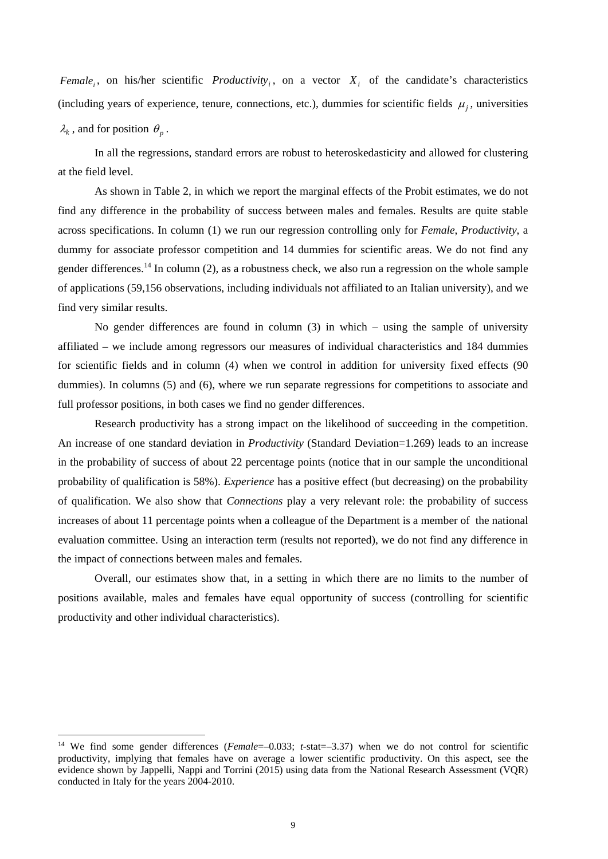*Female<sub>i</sub>*, on his/her scientific *Productivity<sub>i</sub>*, on a vector  $X_i$  of the candidate's characteristics (including years of experience, tenure, connections, etc.), dummies for scientific fields  $\mu_i$ , universities  $\lambda_k$ , and for position  $\theta_n$ .

In all the regressions, standard errors are robust to heteroskedasticity and allowed for clustering at the field level.

As shown in Table 2, in which we report the marginal effects of the Probit estimates, we do not find any difference in the probability of success between males and females. Results are quite stable across specifications. In column (1) we run our regression controlling only for *Female*, *Productivity*, a dummy for associate professor competition and 14 dummies for scientific areas. We do not find any gender differences.<sup>14</sup> In column (2), as a robustness check, we also run a regression on the whole sample of applications (59,156 observations, including individuals not affiliated to an Italian university), and we find very similar results.

No gender differences are found in column (3) in which – using the sample of university affiliated – we include among regressors our measures of individual characteristics and 184 dummies for scientific fields and in column (4) when we control in addition for university fixed effects (90 dummies). In columns (5) and (6), where we run separate regressions for competitions to associate and full professor positions, in both cases we find no gender differences.

Research productivity has a strong impact on the likelihood of succeeding in the competition. An increase of one standard deviation in *Productivity* (Standard Deviation=1.269) leads to an increase in the probability of success of about 22 percentage points (notice that in our sample the unconditional probability of qualification is 58%). *Experience* has a positive effect (but decreasing) on the probability of qualification. We also show that *Connections* play a very relevant role: the probability of success increases of about 11 percentage points when a colleague of the Department is a member of the national evaluation committee. Using an interaction term (results not reported), we do not find any difference in the impact of connections between males and females.

Overall, our estimates show that, in a setting in which there are no limits to the number of positions available, males and females have equal opportunity of success (controlling for scientific productivity and other individual characteristics).

<sup>&</sup>lt;sup>14</sup> We find some gender differences (*Female*=–0.033; *t*-stat=–3.37) when we do not control for scientific productivity, implying that females have on average a lower scientific productivity. On this aspect, see the evidence shown by Jappelli, Nappi and Torrini (2015) using data from the National Research Assessment (VQR) conducted in Italy for the years 2004-2010.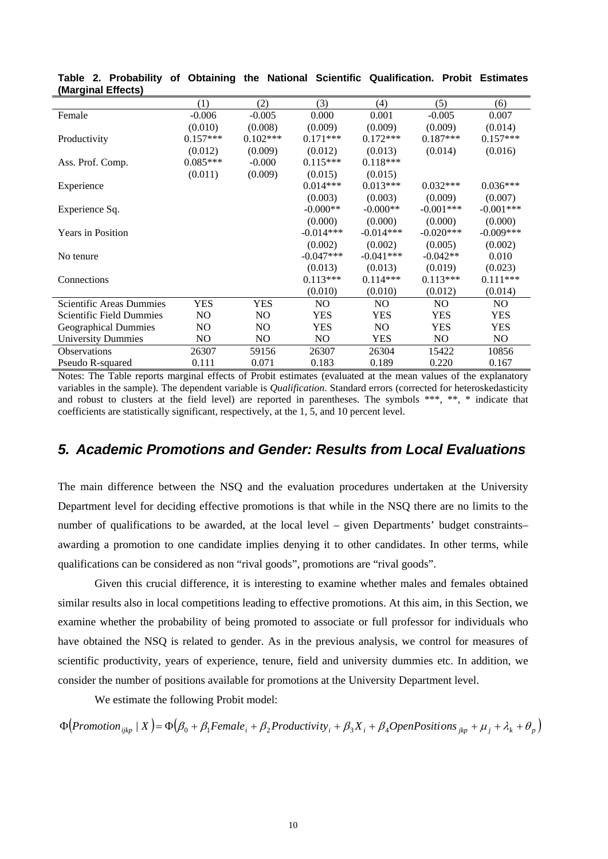|                             | (1)        | (2)        | (3)         | (4)            | (5)            | (6)         |
|-----------------------------|------------|------------|-------------|----------------|----------------|-------------|
| Female                      | $-0.006$   | $-0.005$   | 0.000       | 0.001          | $-0.005$       | 0.007       |
|                             | (0.010)    | (0.008)    | (0.009)     | (0.009)        | (0.009)        | (0.014)     |
| Productivity                | $0.157***$ | $0.102***$ | $0.171***$  | $0.172***$     | $0.187***$     | $0.157***$  |
|                             | (0.012)    | (0.009)    | (0.012)     | (0.013)        | (0.014)        | (0.016)     |
| Ass. Prof. Comp.            | $0.085***$ | $-0.000$   | $0.115***$  | $0.118***$     |                |             |
|                             | (0.011)    | (0.009)    | (0.015)     | (0.015)        |                |             |
| Experience                  |            |            | $0.014***$  | $0.013***$     | $0.032***$     | $0.036***$  |
|                             |            |            | (0.003)     | (0.003)        | (0.009)        | (0.007)     |
| Experience Sq.              |            |            | $-0.000**$  | $-0.000**$     | $-0.001***$    | $-0.001***$ |
|                             |            |            | (0.000)     | (0.000)        | (0.000)        | (0.000)     |
| <b>Years in Position</b>    |            |            | $-0.014***$ | $-0.014***$    | $-0.020***$    | $-0.009***$ |
|                             |            |            | (0.002)     | (0.002)        | (0.005)        | (0.002)     |
| No tenure                   |            |            | $-0.047***$ | $-0.041***$    | $-0.042**$     | 0.010       |
|                             |            |            | (0.013)     | (0.013)        | (0.019)        | (0.023)     |
| Connections                 |            |            | $0.113***$  | $0.114***$     | $0.113***$     | $0.111***$  |
|                             |            |            | (0.010)     | (0.010)        | (0.012)        | (0.014)     |
| Scientific Areas Dummies    | YES        | <b>YES</b> | NO.         | N <sub>O</sub> | N <sub>O</sub> | NO.         |
| Scientific Field Dummies    | NO.        | NO.        | YES         | <b>YES</b>     | <b>YES</b>     | <b>YES</b>  |
| <b>Geographical Dummies</b> | NO.        | NO.        | YES         | N <sub>O</sub> | <b>YES</b>     | YES         |
| <b>University Dummies</b>   | NO.        | NO.        | NO          | YES            | NO.            | NO.         |
| <b>Observations</b>         | 26307      | 59156      | 26307       | 26304          | 15422          | 10856       |
| Pseudo R-squared            | 0.111      | 0.071      | 0.183       | 0.189          | 0.220          | 0.167       |

**Table 2. Probability of Obtaining the National Scientific Qualification. Probit Estimates (Marginal Effects)**

Notes: The Table reports marginal effects of Probit estimates (evaluated at the mean values of the explanatory variables in the sample). The dependent variable is *Qualification*. Standard errors (corrected for heteroskedasticity and robust to clusters at the field level) are reported in parentheses. The symbols \*\*\*, \*\*, \* indicate that coefficients are statistically significant, respectively, at the 1, 5, and 10 percent level.

## *5. Academic Promotions and Gender: Results from Local Evaluations*

The main difference between the NSQ and the evaluation procedures undertaken at the University Department level for deciding effective promotions is that while in the NSQ there are no limits to the number of qualifications to be awarded, at the local level – given Departments' budget constraints– awarding a promotion to one candidate implies denying it to other candidates. In other terms, while qualifications can be considered as non "rival goods", promotions are "rival goods".

Given this crucial difference, it is interesting to examine whether males and females obtained similar results also in local competitions leading to effective promotions. At this aim, in this Section, we examine whether the probability of being promoted to associate or full professor for individuals who have obtained the NSQ is related to gender. As in the previous analysis, we control for measures of scientific productivity, years of experience, tenure, field and university dummies etc. In addition, we consider the number of positions available for promotions at the University Department level.

We estimate the following Probit model:

 $\Phi\left(Promotion_{ijkp} | X\right) = \Phi\left(\beta_0 + \beta_1 Female_i + \beta_2 Productivity_i + \beta_3 X_i + \beta_4 OpenPositions_{jkp} + \mu_j + \lambda_k + \theta_p\right)$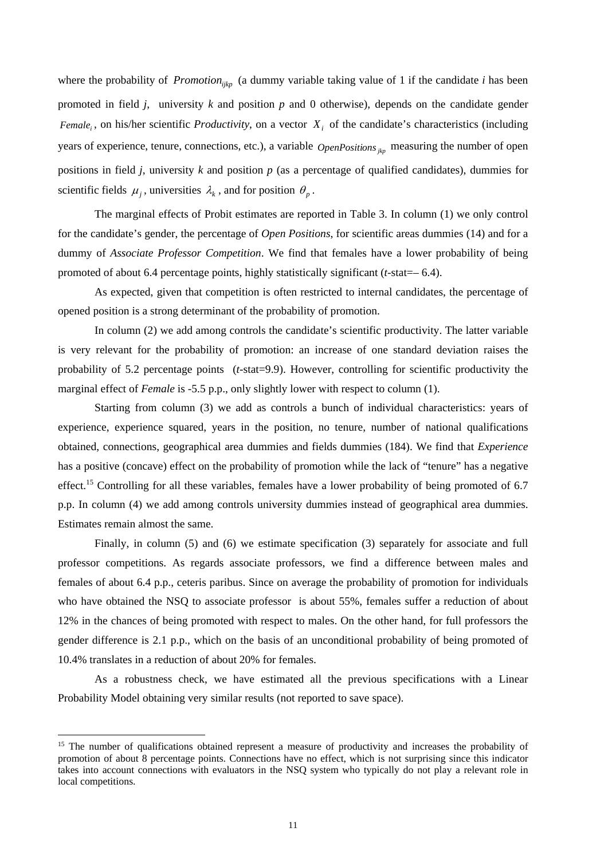where the probability of *Promotion<sub>ikp</sub>* (a dummy variable taking value of 1 if the candidate *i* has been promoted in field *j*, university *k* and position *p* and 0 otherwise), depends on the candidate gender *Female<sub>i</sub>*, on his/her scientific *Productivity*, on a vector  $X_i$  of the candidate's characteristics (including years of experience, tenure, connections, etc.), a variable *OpenPositions* <sub>itp</sub> measuring the number of open positions in field *j*, university *k* and position *p* (as a percentage of qualified candidates), dummies for scientific fields  $\mu_i$ , universities  $\lambda_k$ , and for position  $\theta_p$ .

The marginal effects of Probit estimates are reported in Table 3. In column (1) we only control for the candidate's gender, the percentage of *Open Positions*, for scientific areas dummies (14) and for a dummy of *Associate Professor Competition*. We find that females have a lower probability of being promoted of about 6.4 percentage points, highly statistically significant (*t*-stat=– 6.4).

As expected, given that competition is often restricted to internal candidates, the percentage of opened position is a strong determinant of the probability of promotion.

In column (2) we add among controls the candidate's scientific productivity. The latter variable is very relevant for the probability of promotion: an increase of one standard deviation raises the probability of 5.2 percentage points (*t*-stat=9.9). However, controlling for scientific productivity the marginal effect of *Female* is -5.5 p.p., only slightly lower with respect to column (1).

Starting from column (3) we add as controls a bunch of individual characteristics: years of experience, experience squared, years in the position, no tenure, number of national qualifications obtained, connections, geographical area dummies and fields dummies (184). We find that *Experience* has a positive (concave) effect on the probability of promotion while the lack of "tenure" has a negative effect.<sup>15</sup> Controlling for all these variables, females have a lower probability of being promoted of 6.7 p.p. In column (4) we add among controls university dummies instead of geographical area dummies. Estimates remain almost the same.

Finally, in column (5) and (6) we estimate specification (3) separately for associate and full professor competitions. As regards associate professors, we find a difference between males and females of about 6.4 p.p., ceteris paribus. Since on average the probability of promotion for individuals who have obtained the NSQ to associate professor is about 55%, females suffer a reduction of about 12% in the chances of being promoted with respect to males. On the other hand, for full professors the gender difference is 2.1 p.p., which on the basis of an unconditional probability of being promoted of 10.4% translates in a reduction of about 20% for females.

As a robustness check, we have estimated all the previous specifications with a Linear Probability Model obtaining very similar results (not reported to save space).

<sup>&</sup>lt;sup>15</sup> The number of qualifications obtained represent a measure of productivity and increases the probability of promotion of about 8 percentage points. Connections have no effect, which is not surprising since this indicator takes into account connections with evaluators in the NSQ system who typically do not play a relevant role in local competitions.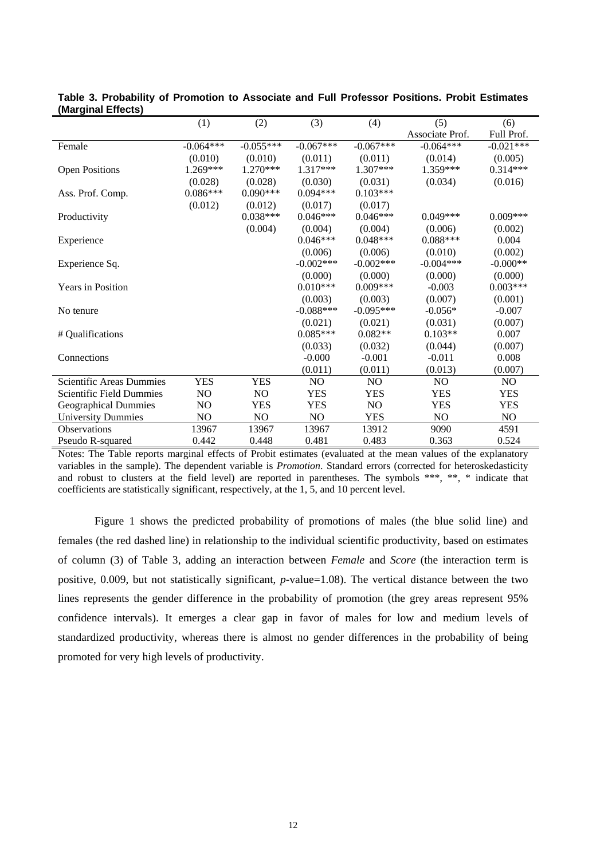|                                 | (1)            | (2)                       | (3)            | (4)         | (5)                   | (6)            |
|---------------------------------|----------------|---------------------------|----------------|-------------|-----------------------|----------------|
|                                 |                |                           |                |             | Associate Prof.       | Full Prof.     |
| Female                          | $-0.064***$    | $-0.055***$               | $-0.067***$    | $-0.067***$ | $-0.064***$           | $-0.021***$    |
|                                 | (0.010)        | (0.010)                   | (0.011)        | (0.011)     | (0.014)               | (0.005)        |
| <b>Open Positions</b>           | $1.269***$     | $1.270***$                | 1.317***       | $1.307***$  | 1.359***              | $0.314***$     |
|                                 | (0.028)        | (0.028)                   | (0.030)        | (0.031)     | (0.034)               | (0.016)        |
| Ass. Prof. Comp.                | $0.086***$     | $0.090***$                | $0.094***$     | $0.103***$  |                       |                |
|                                 | (0.012)        | (0.012)                   | (0.017)        | (0.017)     |                       |                |
| Productivity                    |                | $0.038***$                | $0.046***$     | $0.046***$  | $0.049***$            | $0.009***$     |
|                                 |                | (0.004)                   | (0.004)        | (0.004)     | (0.006)               | (0.002)        |
| Experience                      |                |                           | $0.046***$     | $0.048***$  | $0.088***$            | 0.004          |
|                                 |                |                           | (0.006)        | (0.006)     | (0.010)               | (0.002)        |
| Experience Sq.                  |                |                           | $-0.002***$    | $-0.002***$ | $-0.004***$           | $-0.000**$     |
|                                 |                |                           | (0.000)        | (0.000)     | (0.000)               | (0.000)        |
| <b>Years in Position</b>        |                |                           | $0.010***$     | $0.009***$  | $-0.003$              | $0.003***$     |
|                                 |                |                           | (0.003)        | (0.003)     | (0.007)               | (0.001)        |
| No tenure                       |                |                           | $-0.088***$    | $-0.095***$ | $-0.056*$             | $-0.007$       |
|                                 |                |                           | (0.021)        | (0.021)     | (0.031)               | (0.007)        |
| # Qualifications                |                |                           | $0.085***$     | $0.082**$   | $0.103**$             | 0.007          |
|                                 |                |                           | (0.033)        | (0.032)     | (0.044)               | (0.007)        |
| Connections                     |                |                           | $-0.000$       | $-0.001$    | $-0.011$              | 0.008          |
|                                 |                |                           | (0.011)        | (0.011)     | (0.013)               | (0.007)        |
| <b>Scientific Areas Dummies</b> | <b>YES</b>     | <b>YES</b>                | N <sub>O</sub> | NO          | NO                    | NO             |
| Scientific Field Dummies        | NO.            | NO                        | <b>YES</b>     | <b>YES</b>  | <b>YES</b>            | <b>YES</b>     |
| <b>Geographical Dummies</b>     | NO             | <b>YES</b>                | <b>YES</b>     | $\rm NO$    | <b>YES</b>            | <b>YES</b>     |
| <b>University Dummies</b>       | N <sub>O</sub> | N <sub>O</sub>            | N <sub>O</sub> | <b>YES</b>  | N <sub>O</sub>        | N <sub>O</sub> |
| Observations                    | 13967          | 13967                     | 13967          | 13912       | 9090                  | 4591           |
| Pseudo R-squared                | 0.442          | 0.448                     | 0.481          | 0.483       | 0.363                 | 0.524          |
| $T = 1$<br><b>PD 11</b>         |                | $\sim$ $\sim$<br>$\cdots$ |                |             | $C_{\rm{1}}$ $\sim$ 1 |                |

| Table 3. Probability of Promotion to Associate and Full Professor Positions. Probit Estimates |  |  |  |  |
|-----------------------------------------------------------------------------------------------|--|--|--|--|
| (Marginal Effects)                                                                            |  |  |  |  |

Notes: The Table reports marginal effects of Probit estimates (evaluated at the mean values of the explanatory variables in the sample). The dependent variable is *Promotion*. Standard errors (corrected for heteroskedasticity and robust to clusters at the field level) are reported in parentheses. The symbols \*\*\*, \*\*, \* indicate that coefficients are statistically significant, respectively, at the 1, 5, and 10 percent level.

Figure 1 shows the predicted probability of promotions of males (the blue solid line) and females (the red dashed line) in relationship to the individual scientific productivity, based on estimates of column (3) of Table 3, adding an interaction between *Female* and *Score* (the interaction term is positive, 0.009, but not statistically significant, *p*-value=1.08). The vertical distance between the two lines represents the gender difference in the probability of promotion (the grey areas represent 95% confidence intervals). It emerges a clear gap in favor of males for low and medium levels of standardized productivity, whereas there is almost no gender differences in the probability of being promoted for very high levels of productivity.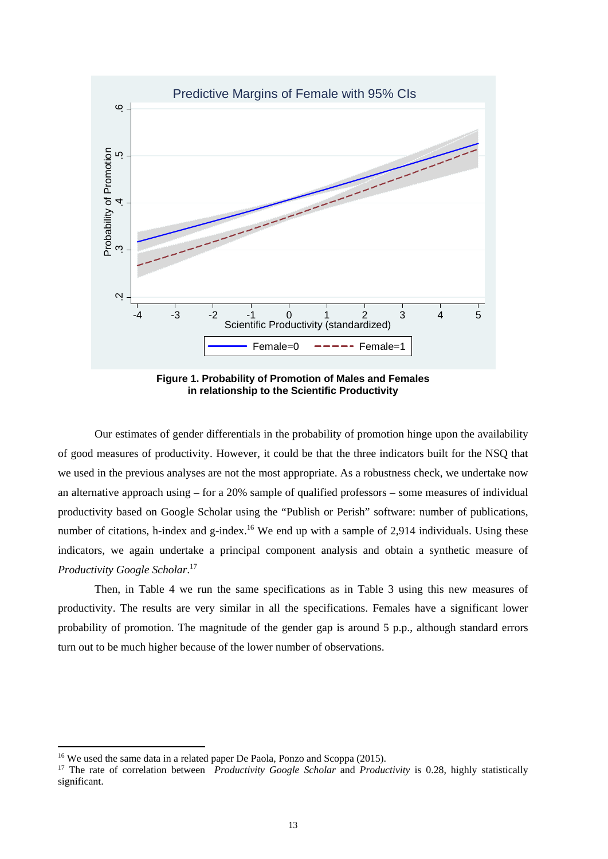

**Figure 1. Probability of Promotion of Males and Females in relationship to the Scientific Productivity**

Our estimates of gender differentials in the probability of promotion hinge upon the availability of good measures of productivity. However, it could be that the three indicators built for the NSQ that we used in the previous analyses are not the most appropriate. As a robustness check, we undertake now an alternative approach using – for a 20% sample of qualified professors – some measures of individual productivity based on Google Scholar using the "Publish or Perish" software: number of publications, number of citations, h-index and g-index.<sup>16</sup> We end up with a sample of 2,914 individuals. Using these indicators, we again undertake a principal component analysis and obtain a synthetic measure of *Productivity Google Scholar*. 17

Then, in Table 4 we run the same specifications as in Table 3 using this new measures of productivity. The results are very similar in all the specifications. Females have a significant lower probability of promotion. The magnitude of the gender gap is around 5 p.p., although standard errors turn out to be much higher because of the lower number of observations.

<sup>&</sup>lt;sup>16</sup> We used the same data in a related paper De Paola, Ponzo and Scoppa (2015).

<sup>&</sup>lt;sup>17</sup> The rate of correlation between *Productivity Google Scholar* and *Productivity* is 0.28, highly statistically significant.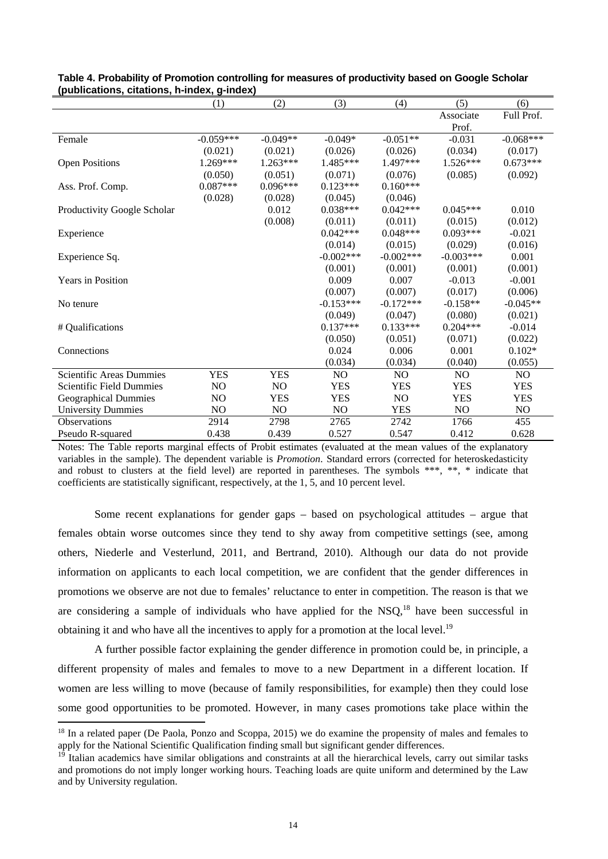|                                 | (1)         | (2)        | (3)         | (4)            | (5)            | (6)            |
|---------------------------------|-------------|------------|-------------|----------------|----------------|----------------|
|                                 |             |            |             |                | Associate      | Full Prof.     |
|                                 |             |            |             |                | Prof.          |                |
| Female                          | $-0.059***$ | $-0.049**$ | $-0.049*$   | $-0.051**$     | $-0.031$       | $-0.068***$    |
|                                 | (0.021)     | (0.021)    | (0.026)     | (0.026)        | (0.034)        | (0.017)        |
| <b>Open Positions</b>           | 1.269***    | $1.263***$ | 1.485***    | 1.497***       | $1.526***$     | $0.673***$     |
|                                 | (0.050)     | (0.051)    | (0.071)     | (0.076)        | (0.085)        | (0.092)        |
| Ass. Prof. Comp.                | $0.087***$  | $0.096***$ | $0.123***$  | $0.160***$     |                |                |
|                                 | (0.028)     | (0.028)    | (0.045)     | (0.046)        |                |                |
| Productivity Google Scholar     |             | 0.012      | $0.038***$  | $0.042***$     | $0.045***$     | 0.010          |
|                                 |             | (0.008)    | (0.011)     | (0.011)        | (0.015)        | (0.012)        |
| Experience                      |             |            | $0.042***$  | $0.048***$     | $0.093***$     | $-0.021$       |
|                                 |             |            | (0.014)     | (0.015)        | (0.029)        | (0.016)        |
| Experience Sq.                  |             |            | $-0.002***$ | $-0.002***$    | $-0.003***$    | 0.001          |
|                                 |             |            | (0.001)     | (0.001)        | (0.001)        | (0.001)        |
| <b>Years in Position</b>        |             |            | 0.009       | 0.007          | $-0.013$       | $-0.001$       |
|                                 |             |            | (0.007)     | (0.007)        | (0.017)        | (0.006)        |
| No tenure                       |             |            | $-0.153***$ | $-0.172***$    | $-0.158**$     | $-0.045**$     |
|                                 |             |            | (0.049)     | (0.047)        | (0.080)        | (0.021)        |
| # Qualifications                |             |            | $0.137***$  | $0.133***$     | $0.204***$     | $-0.014$       |
|                                 |             |            | (0.050)     | (0.051)        | (0.071)        | (0.022)        |
| Connections                     |             |            | 0.024       | 0.006          | 0.001          | $0.102*$       |
|                                 |             |            | (0.034)     | (0.034)        | (0.040)        | (0.055)        |
| <b>Scientific Areas Dummies</b> | <b>YES</b>  | <b>YES</b> | NO.         | N <sub>O</sub> | N <sub>O</sub> | N <sub>O</sub> |
| <b>Scientific Field Dummies</b> | NO          | NO         | <b>YES</b>  | <b>YES</b>     | <b>YES</b>     | <b>YES</b>     |
| <b>Geographical Dummies</b>     | NO          | <b>YES</b> | <b>YES</b>  | N <sub>O</sub> | <b>YES</b>     | <b>YES</b>     |
| <b>University Dummies</b>       | NO          | NO         | NO          | <b>YES</b>     | NO             | NO             |
| Observations                    | 2914        | 2798       | 2765        | 2742           | 1766           | 455            |
| Pseudo R-squared                | 0.438       | 0.439      | 0.527       | 0.547          | 0.412          | 0.628          |

#### **Table 4. Probability of Promotion controlling for measures of productivity based on Google Scholar (publications, citations, h-index, g-index)**

Notes: The Table reports marginal effects of Probit estimates (evaluated at the mean values of the explanatory variables in the sample). The dependent variable is *Promotion*. Standard errors (corrected for heteroskedasticity and robust to clusters at the field level) are reported in parentheses. The symbols \*\*\*, \*\*, \* indicate that coefficients are statistically significant, respectively, at the 1, 5, and 10 percent level.

Some recent explanations for gender gaps – based on psychological attitudes – argue that females obtain worse outcomes since they tend to shy away from competitive settings (see, among others, Niederle and Vesterlund, 2011, and Bertrand, 2010). Although our data do not provide information on applicants to each local competition, we are confident that the gender differences in promotions we observe are not due to females' reluctance to enter in competition. The reason is that we are considering a sample of individuals who have applied for the  $NSO<sup>18</sup>$  have been successful in obtaining it and who have all the incentives to apply for a promotion at the local level.<sup>19</sup>

A further possible factor explaining the gender difference in promotion could be, in principle, a different propensity of males and females to move to a new Department in a different location. If women are less willing to move (because of family responsibilities, for example) then they could lose some good opportunities to be promoted. However, in many cases promotions take place within the

<sup>&</sup>lt;sup>18</sup> In a related paper (De Paola, Ponzo and Scoppa, 2015) we do examine the propensity of males and females to apply for the National Scientific Qualification finding small but significant gender differences.

 $\overline{P}$  Italian academics have similar obligations and constraints at all the hierarchical levels, carry out similar tasks and promotions do not imply longer working hours. Teaching loads are quite uniform and determined by the Law and by University regulation.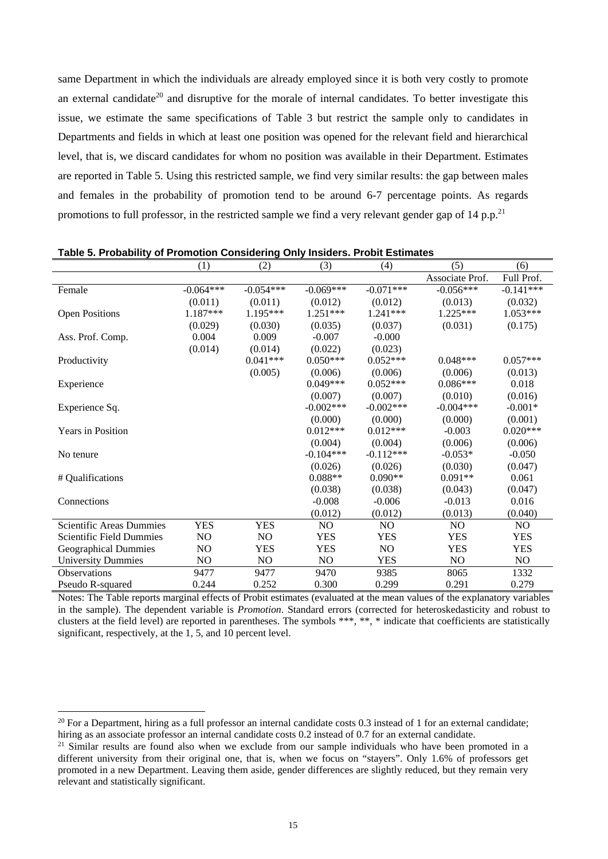same Department in which the individuals are already employed since it is both very costly to promote an external candidate<sup>20</sup> and disruptive for the morale of internal candidates. To better investigate this issue, we estimate the same specifications of Table 3 but restrict the sample only to candidates in Departments and fields in which at least one position was opened for the relevant field and hierarchical level, that is, we discard candidates for whom no position was available in their Department. Estimates are reported in Table 5. Using this restricted sample, we find very similar results: the gap between males and females in the probability of promotion tend to be around 6-7 percentage points. As regards promotions to full professor, in the restricted sample we find a very relevant gender gap of 14 p.p.<sup>21</sup>

|                             | (1)            | (2)         | (3)         | (4)         | (5)             | (6)            |
|-----------------------------|----------------|-------------|-------------|-------------|-----------------|----------------|
|                             |                |             |             |             | Associate Prof. | Full Prof.     |
| Female                      | $-0.064***$    | $-0.054***$ | $-0.069***$ | $-0.071***$ | $-0.056***$     | $-0.141***$    |
|                             | (0.011)        | (0.011)     | (0.012)     | (0.012)     | (0.013)         | (0.032)        |
| <b>Open Positions</b>       | 1.187***       | 1.195***    | $1.251***$  | $1.241***$  | $1.225***$      | $1.053***$     |
|                             | (0.029)        | (0.030)     | (0.035)     | (0.037)     | (0.031)         | (0.175)        |
| Ass. Prof. Comp.            | 0.004          | 0.009       | $-0.007$    | $-0.000$    |                 |                |
|                             | (0.014)        | (0.014)     | (0.022)     | (0.023)     |                 |                |
| Productivity                |                | $0.041***$  | $0.050***$  | $0.052***$  | $0.048***$      | $0.057***$     |
|                             |                | (0.005)     | (0.006)     | (0.006)     | (0.006)         | (0.013)        |
| Experience                  |                |             | $0.049***$  | $0.052***$  | $0.086***$      | 0.018          |
|                             |                |             | (0.007)     | (0.007)     | (0.010)         | (0.016)        |
| Experience Sq.              |                |             | $-0.002***$ | $-0.002***$ | $-0.004***$     | $-0.001*$      |
|                             |                |             | (0.000)     | (0.000)     | (0.000)         | (0.001)        |
| <b>Years in Position</b>    |                |             | $0.012***$  | $0.012***$  | $-0.003$        | $0.020***$     |
|                             |                |             | (0.004)     | (0.004)     | (0.006)         | (0.006)        |
| No tenure                   |                |             | $-0.104***$ | $-0.112***$ | $-0.053*$       | $-0.050$       |
|                             |                |             | (0.026)     | (0.026)     | (0.030)         | (0.047)        |
| # Qualifications            |                |             | $0.088**$   | $0.090**$   | $0.091**$       | 0.061          |
|                             |                |             | (0.038)     | (0.038)     | (0.043)         | (0.047)        |
| Connections                 |                |             | $-0.008$    | $-0.006$    | $-0.013$        | 0.016          |
|                             |                |             | (0.012)     | (0.012)     | (0.013)         | (0.040)        |
| Scientific Areas Dummies    | <b>YES</b>     | <b>YES</b>  | NO          | NO          | N <sub>O</sub>  | N <sub>O</sub> |
| Scientific Field Dummies    | N <sub>O</sub> | NO.         | <b>YES</b>  | <b>YES</b>  | <b>YES</b>      | <b>YES</b>     |
| <b>Geographical Dummies</b> | N <sub>O</sub> | <b>YES</b>  | <b>YES</b>  | <b>NO</b>   | <b>YES</b>      | <b>YES</b>     |
| <b>University Dummies</b>   | NO             | NO          | NO.         | <b>YES</b>  | NO              | N <sub>O</sub> |
| Observations                | 9477           | 9477        | 9470        | 9385        | 8065            | 1332           |
| Pseudo R-squared            | 0.244          | 0.252       | 0.300       | 0.299       | 0.291           | 0.279          |

**Table 5. Probability of Promotion Considering Only Insiders. Probit Estimates** 

Notes: The Table reports marginal effects of Probit estimates (evaluated at the mean values of the explanatory variables in the sample). The dependent variable is *Promotion*. Standard errors (corrected for heteroskedasticity and robust to clusters at the field level) are reported in parentheses. The symbols \*\*\*, \*\*, \* indicate that coefficients are statistically significant, respectively, at the 1, 5, and 10 percent level.

<sup>&</sup>lt;sup>20</sup> For a Department, hiring as a full professor an internal candidate costs 0.3 instead of 1 for an external candidate; hiring as an associate professor an internal candidate costs 0.2 instead of 0.7 for an external can

<sup>&</sup>lt;sup>21</sup> Similar results are found also when we exclude from our sample individuals who have been promoted in a different university from their original one, that is, when we focus on "stayers". Only 1.6% of professors get promoted in a new Department. Leaving them aside, gender differences are slightly reduced, but they remain very relevant and statistically significant.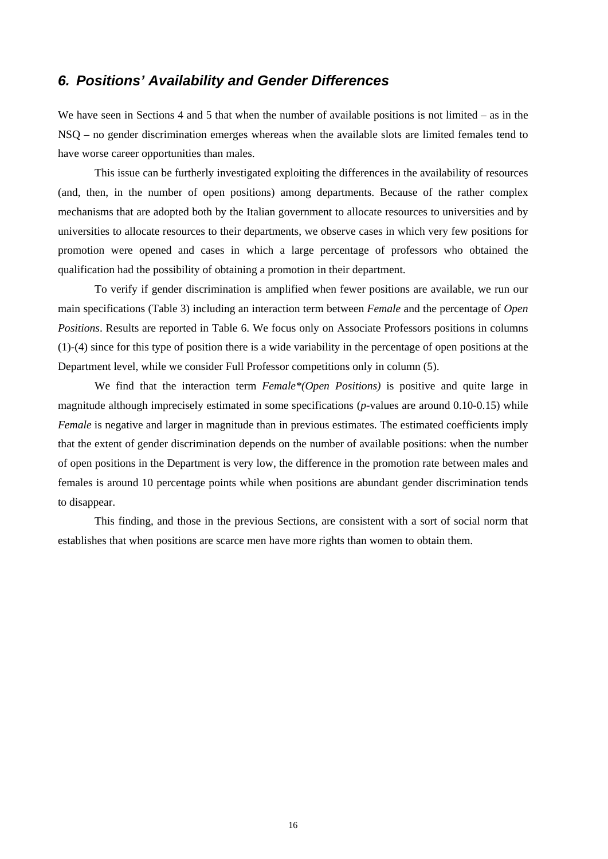### *6. Positions' Availability and Gender Differences*

We have seen in Sections 4 and 5 that when the number of available positions is not limited – as in the NSQ – no gender discrimination emerges whereas when the available slots are limited females tend to have worse career opportunities than males.

This issue can be furtherly investigated exploiting the differences in the availability of resources (and, then, in the number of open positions) among departments. Because of the rather complex mechanisms that are adopted both by the Italian government to allocate resources to universities and by universities to allocate resources to their departments, we observe cases in which very few positions for promotion were opened and cases in which a large percentage of professors who obtained the qualification had the possibility of obtaining a promotion in their department.

To verify if gender discrimination is amplified when fewer positions are available, we run our main specifications (Table 3) including an interaction term between *Female* and the percentage of *Open Positions*. Results are reported in Table 6. We focus only on Associate Professors positions in columns (1)-(4) since for this type of position there is a wide variability in the percentage of open positions at the Department level, while we consider Full Professor competitions only in column (5).

We find that the interaction term *Female\*(Open Positions)* is positive and quite large in magnitude although imprecisely estimated in some specifications (*p*-values are around 0.10-0.15) while *Female* is negative and larger in magnitude than in previous estimates. The estimated coefficients imply that the extent of gender discrimination depends on the number of available positions: when the number of open positions in the Department is very low, the difference in the promotion rate between males and females is around 10 percentage points while when positions are abundant gender discrimination tends to disappear.

This finding, and those in the previous Sections, are consistent with a sort of social norm that establishes that when positions are scarce men have more rights than women to obtain them.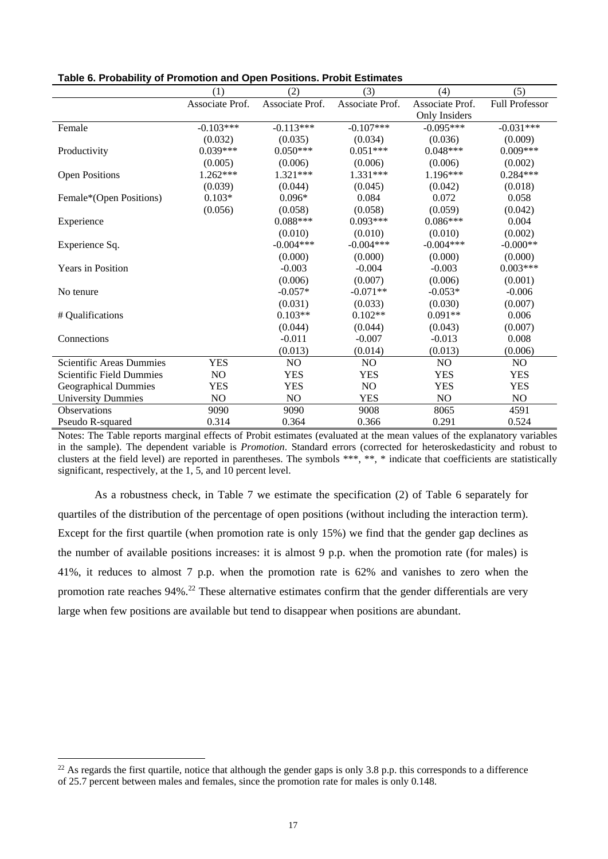|                                 | (1)             | (2)             | (3)             | (4)                  | (5)                   |
|---------------------------------|-----------------|-----------------|-----------------|----------------------|-----------------------|
|                                 | Associate Prof. | Associate Prof. | Associate Prof. | Associate Prof.      | <b>Full Professor</b> |
|                                 |                 |                 |                 | <b>Only Insiders</b> |                       |
| Female                          | $-0.103***$     | $-0.113***$     | $-0.107***$     | $-0.095***$          | $-0.031***$           |
|                                 | (0.032)         | (0.035)         | (0.034)         | (0.036)              | (0.009)               |
| Productivity                    | $0.039***$      | $0.050***$      | $0.051***$      | $0.048***$           | $0.009***$            |
|                                 | (0.005)         | (0.006)         | (0.006)         | (0.006)              | (0.002)               |
| <b>Open Positions</b>           | 1.262***        | $1.321***$      | 1.331***        | 1.196***             | $0.284***$            |
|                                 | (0.039)         | (0.044)         | (0.045)         | (0.042)              | (0.018)               |
| Female*(Open Positions)         | $0.103*$        | $0.096*$        | 0.084           | 0.072                | 0.058                 |
|                                 | (0.056)         | (0.058)         | (0.058)         | (0.059)              | (0.042)               |
| Experience                      |                 | $0.088***$      | $0.093***$      | $0.086***$           | 0.004                 |
|                                 |                 | (0.010)         | (0.010)         | (0.010)              | (0.002)               |
| Experience Sq.                  |                 | $-0.004***$     | $-0.004***$     | $-0.004***$          | $-0.000**$            |
|                                 |                 | (0.000)         | (0.000)         | (0.000)              | (0.000)               |
| <b>Years in Position</b>        |                 | $-0.003$        | $-0.004$        | $-0.003$             | $0.003***$            |
|                                 |                 | (0.006)         | (0.007)         | (0.006)              | (0.001)               |
| No tenure                       |                 | $-0.057*$       | $-0.071**$      | $-0.053*$            | $-0.006$              |
|                                 |                 | (0.031)         | (0.033)         | (0.030)              | (0.007)               |
| # Qualifications                |                 | $0.103**$       | $0.102**$       | $0.091**$            | 0.006                 |
|                                 |                 | (0.044)         | (0.044)         | (0.043)              | (0.007)               |
| Connections                     |                 | $-0.011$        | $-0.007$        | $-0.013$             | 0.008                 |
|                                 |                 | (0.013)         | (0.014)         | (0.013)              | (0.006)               |
| Scientific Areas Dummies        | <b>YES</b>      | N <sub>O</sub>  | NO.             | N <sub>O</sub>       | NO.                   |
| <b>Scientific Field Dummies</b> | NO              | <b>YES</b>      | <b>YES</b>      | <b>YES</b>           | <b>YES</b>            |
| <b>Geographical Dummies</b>     | <b>YES</b>      | <b>YES</b>      | NO              | <b>YES</b>           | <b>YES</b>            |
| <b>University Dummies</b>       | NO              | NO              | <b>YES</b>      | NO                   | NO                    |
| <b>Observations</b>             | 9090            | 9090            | 9008            | 8065                 | 4591                  |
| Pseudo R-squared                | 0.314           | 0.364           | 0.366           | 0.291                | 0.524                 |

Notes: The Table reports marginal effects of Probit estimates (evaluated at the mean values of the explanatory variables in the sample). The dependent variable is *Promotion*. Standard errors (corrected for heteroskedasticity and robust to clusters at the field level) are reported in parentheses. The symbols \*\*\*, \*\*, \* indicate that coefficients are statistically significant, respectively, at the 1, 5, and 10 percent level.

As a robustness check, in Table 7 we estimate the specification (2) of Table 6 separately for quartiles of the distribution of the percentage of open positions (without including the interaction term). Except for the first quartile (when promotion rate is only 15%) we find that the gender gap declines as the number of available positions increases: it is almost 9 p.p. when the promotion rate (for males) is 41%, it reduces to almost 7 p.p. when the promotion rate is 62% and vanishes to zero when the promotion rate reaches 94%.<sup>22</sup> These alternative estimates confirm that the gender differentials are very large when few positions are available but tend to disappear when positions are abundant.

<sup>&</sup>lt;sup>22</sup> As regards the first quartile, notice that although the gender gaps is only 3.8 p.p. this corresponds to a difference of 25.7 percent between males and females, since the promotion rate for males is only 0.148.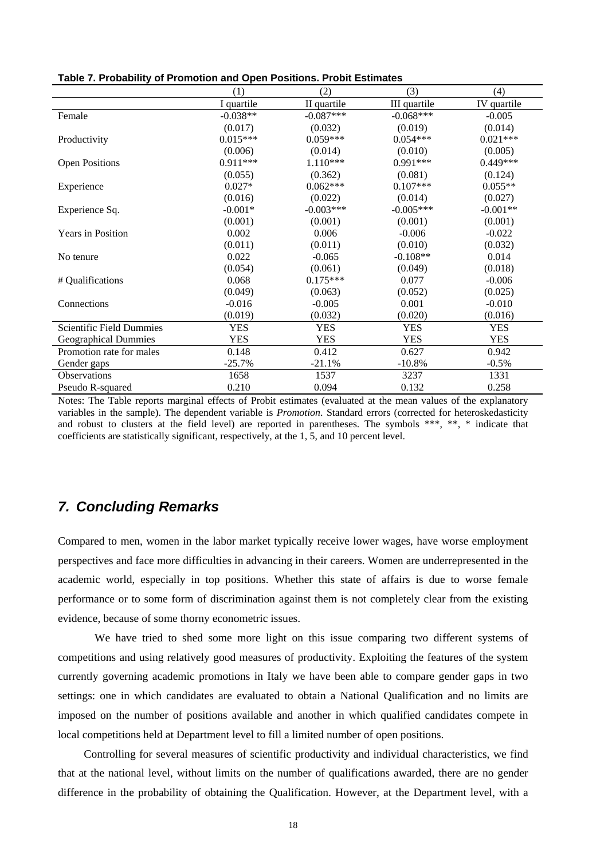|                             | (1)        | (2)         | (3)          | (4)         |
|-----------------------------|------------|-------------|--------------|-------------|
|                             | I quartile | II quartile | III quartile | IV quartile |
| Female                      | $-0.038**$ | $-0.087***$ | $-0.068***$  | $-0.005$    |
|                             | (0.017)    | (0.032)     | (0.019)      | (0.014)     |
| Productivity                | $0.015***$ | $0.059***$  | $0.054***$   | $0.021***$  |
|                             | (0.006)    | (0.014)     | (0.010)      | (0.005)     |
| <b>Open Positions</b>       | $0.911***$ | $1.110***$  | $0.991***$   | $0.449***$  |
|                             | (0.055)    | (0.362)     | (0.081)      | (0.124)     |
| Experience                  | $0.027*$   | $0.062***$  | $0.107***$   | $0.055**$   |
|                             | (0.016)    | (0.022)     | (0.014)      | (0.027)     |
| Experience Sq.              | $-0.001*$  | $-0.003***$ | $-0.005***$  | $-0.001**$  |
|                             | (0.001)    | (0.001)     | (0.001)      | (0.001)     |
| <b>Years in Position</b>    | 0.002      | 0.006       | $-0.006$     | $-0.022$    |
|                             | (0.011)    | (0.011)     | (0.010)      | (0.032)     |
| No tenure                   | 0.022      | $-0.065$    | $-0.108**$   | 0.014       |
|                             | (0.054)    | (0.061)     | (0.049)      | (0.018)     |
| # Qualifications            | 0.068      | $0.175***$  | 0.077        | $-0.006$    |
|                             | (0.049)    | (0.063)     | (0.052)      | (0.025)     |
| Connections                 | $-0.016$   | $-0.005$    | 0.001        | $-0.010$    |
|                             | (0.019)    | (0.032)     | (0.020)      | (0.016)     |
| Scientific Field Dummies    | <b>YES</b> | <b>YES</b>  | <b>YES</b>   | <b>YES</b>  |
| <b>Geographical Dummies</b> | <b>YES</b> | <b>YES</b>  | <b>YES</b>   | <b>YES</b>  |
| Promotion rate for males    | 0.148      | 0.412       | 0.627        | 0.942       |
| Gender gaps                 | $-25.7\%$  | $-21.1%$    | $-10.8%$     | $-0.5%$     |
| <b>Observations</b>         | 1658       | 1537        | 3237         | 1331        |
| Pseudo R-squared            | 0.210      | 0.094       | 0.132        | 0.258       |

Notes: The Table reports marginal effects of Probit estimates (evaluated at the mean values of the explanatory variables in the sample). The dependent variable is *Promotion*. Standard errors (corrected for heteroskedasticity and robust to clusters at the field level) are reported in parentheses. The symbols \*\*\*, \*\*, \* indicate that coefficients are statistically significant, respectively, at the 1, 5, and 10 percent level.

### *7. Concluding Remarks*

Compared to men, women in the labor market typically receive lower wages, have worse employment perspectives and face more difficulties in advancing in their careers. Women are underrepresented in the academic world, especially in top positions. Whether this state of affairs is due to worse female performance or to some form of discrimination against them is not completely clear from the existing evidence, because of some thorny econometric issues.

We have tried to shed some more light on this issue comparing two different systems of competitions and using relatively good measures of productivity. Exploiting the features of the system currently governing academic promotions in Italy we have been able to compare gender gaps in two settings: one in which candidates are evaluated to obtain a National Qualification and no limits are imposed on the number of positions available and another in which qualified candidates compete in local competitions held at Department level to fill a limited number of open positions.

Controlling for several measures of scientific productivity and individual characteristics, we find that at the national level, without limits on the number of qualifications awarded, there are no gender difference in the probability of obtaining the Qualification. However, at the Department level, with a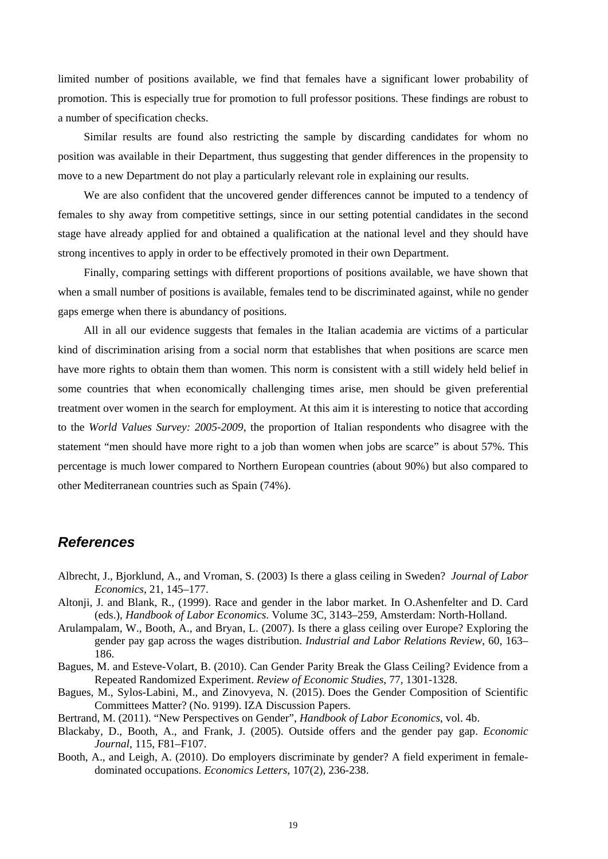limited number of positions available, we find that females have a significant lower probability of promotion. This is especially true for promotion to full professor positions. These findings are robust to a number of specification checks.

Similar results are found also restricting the sample by discarding candidates for whom no position was available in their Department, thus suggesting that gender differences in the propensity to move to a new Department do not play a particularly relevant role in explaining our results.

We are also confident that the uncovered gender differences cannot be imputed to a tendency of females to shy away from competitive settings, since in our setting potential candidates in the second stage have already applied for and obtained a qualification at the national level and they should have strong incentives to apply in order to be effectively promoted in their own Department.

Finally, comparing settings with different proportions of positions available, we have shown that when a small number of positions is available, females tend to be discriminated against, while no gender gaps emerge when there is abundancy of positions.

All in all our evidence suggests that females in the Italian academia are victims of a particular kind of discrimination arising from a social norm that establishes that when positions are scarce men have more rights to obtain them than women. This norm is consistent with a still widely held belief in some countries that when economically challenging times arise, men should be given preferential treatment over women in the search for employment. At this aim it is interesting to notice that according to the *World Values Survey: 2005-2009*, the proportion of Italian respondents who disagree with the statement "men should have more right to a job than women when jobs are scarce" is about 57%. This percentage is much lower compared to Northern European countries (about 90%) but also compared to other Mediterranean countries such as Spain (74%).

### *References*

- Albrecht, J., Bjorklund, A., and Vroman, S. (2003) Is there a glass ceiling in Sweden? *Journal of Labor Economics*, 21, 145–177.
- Altonji, J. and Blank, R., (1999). Race and gender in the labor market. In O.Ashenfelter and D. Card (eds.), *Handbook of Labor Economics*. Volume 3C, 3143–259, Amsterdam: North-Holland.
- Arulampalam, W., Booth, A., and Bryan, L. (2007). Is there a glass ceiling over Europe? Exploring the gender pay gap across the wages distribution. *Industrial and Labor Relations Review*, 60, 163– 186.
- Bagues, M. and Esteve-Volart, B. (2010). Can Gender Parity Break the Glass Ceiling? Evidence from a Repeated Randomized Experiment. *Review of Economic Studies*, 77, 1301-1328.
- Bagues, M., Sylos-Labini, M., and Zinovyeva, N. (2015). Does the Gender Composition of Scientific Committees Matter? (No. 9199). IZA Discussion Papers.
- Bertrand, M. (2011). "New Perspectives on Gender", *Handbook of Labor Economics*, vol. 4b.
- Blackaby, D., Booth, A., and Frank, J. (2005). Outside offers and the gender pay gap. *Economic Journal*, 115, F81–F107.
- Booth, A., and Leigh, A. (2010). Do employers discriminate by gender? A field experiment in femaledominated occupations. *Economics Letters*, 107(2), 236-238.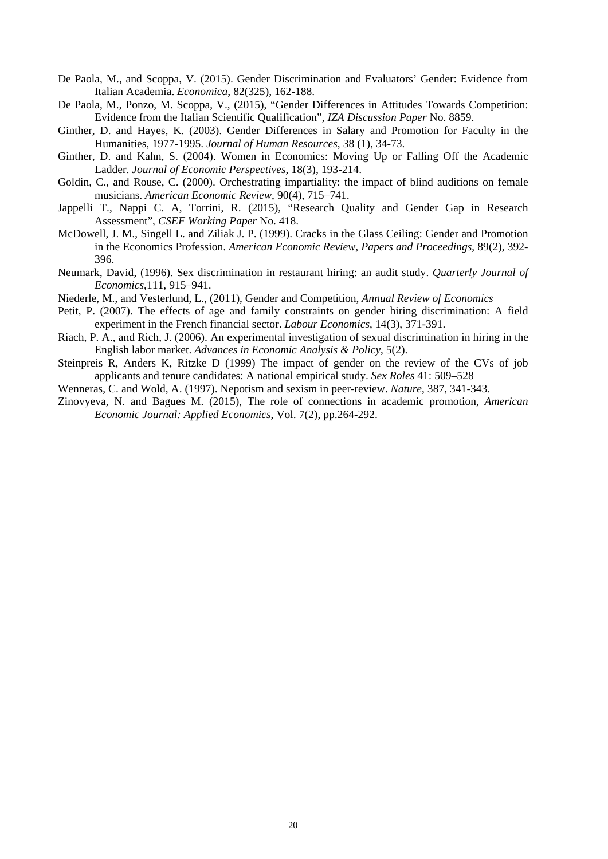- De Paola, M., and Scoppa, V. (2015). Gender Discrimination and Evaluators' Gender: Evidence from Italian Academia. *Economica*, 82(325), 162-188.
- De Paola, M., Ponzo, M. Scoppa, V., (2015), "Gender Differences in Attitudes Towards Competition: Evidence from the Italian Scientific Qualification", *IZA Discussion Paper* No. 8859.
- Ginther, D. and Hayes, K. (2003). Gender Differences in Salary and Promotion for Faculty in the Humanities, 1977-1995. *Journal of Human Resources*, 38 (1), 34-73.
- Ginther, D. and Kahn, S. (2004). Women in Economics: Moving Up or Falling Off the Academic Ladder. *Journal of Economic Perspectives*, 18(3), 193-214.
- Goldin, C., and Rouse, C. (2000). Orchestrating impartiality: the impact of blind auditions on female musicians. *American Economic Review*, 90(4), 715–741.
- Jappelli T., Nappi C. A, Torrini, R. (2015), "Research Quality and Gender Gap in Research Assessment", *CSEF Working Paper* No. 418.
- McDowell, J. M., Singell L. and Ziliak J. P. (1999). Cracks in the Glass Ceiling: Gender and Promotion in the Economics Profession. *American Economic Review, Papers and Proceedings*, 89(2), 392- 396.
- Neumark, David, (1996). Sex discrimination in restaurant hiring: an audit study. *Quarterly Journal of Economics*,111, 915–941.
- Niederle, M., and Vesterlund, L., (2011), Gender and Competition, *Annual Review of Economics*
- Petit, P. (2007). The effects of age and family constraints on gender hiring discrimination: A field experiment in the French financial sector. *Labour Economics*, 14(3), 371-391.
- Riach, P. A., and Rich, J. (2006). An experimental investigation of sexual discrimination in hiring in the English labor market. *Advances in Economic Analysis & Policy*, 5(2).
- Steinpreis R, Anders K, Ritzke D (1999) The impact of gender on the review of the CVs of job applicants and tenure candidates: A national empirical study. *Sex Roles* 41: 509–528
- Wenneras, C. and Wold, A. (1997). Nepotism and sexism in peer-review. *Nature*, 387, 341-343.
- Zinovyeva, N. and Bagues M. (2015), The role of connections in academic promotion, *American Economic Journal: Applied Economics*, Vol. 7(2), pp.264-292.